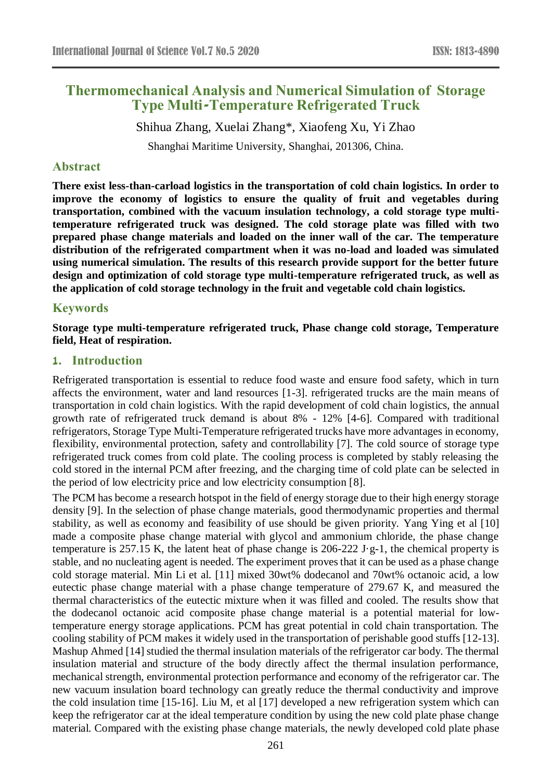# **Thermomechanical Analysis and Numerical Simulation of Storage Type Multi-Temperature Refrigerated Truck**

Shihua Zhang, Xuelai Zhang\*, Xiaofeng Xu, Yi Zhao

Shanghai Maritime University, Shanghai, 201306, China.

### **Abstract**

**There exist less-than-carload logistics in the transportation of cold chain logistics. In order to improve the economy of logistics to ensure the quality of fruit and vegetables during transportation, combined with the vacuum insulation technology, a cold storage type multitemperature refrigerated truck was designed. The cold storage plate was filled with two prepared phase change materials and loaded on the inner wall of the car. The temperature distribution of the refrigerated compartment when it was no-load and loaded was simulated using numerical simulation. The results of this research provide support for the better future design and optimization of cold storage type multi-temperature refrigerated truck, as well as the application of cold storage technology in the fruit and vegetable cold chain logistics.**

### **Keywords**

**Storage type multi-temperature refrigerated truck, Phase change cold storage, Temperature field, Heat of respiration.**

# **1. Introduction**

Refrigerated transportation is essential to reduce food waste and ensure food safety, which in turn affects the environment, water and land resources [1-3]. refrigerated trucks are the main means of transportation in cold chain logistics. With the rapid development of cold chain logistics, the annual growth rate of refrigerated truck demand is about 8% - 12% [4-6]. Compared with traditional refrigerators, Storage Type Multi-Temperature refrigerated trucks have more advantages in economy, flexibility, environmental protection, safety and controllability [7]. The cold source of storage type refrigerated truck comes from cold plate. The cooling process is completed by stably releasing the cold stored in the internal PCM after freezing, and the charging time of cold plate can be selected in the period of low electricity price and low electricity consumption [8].

The PCM has become a research hotspot in the field of energy storage due to their high energy storage density [9]. In the selection of phase change materials, good thermodynamic properties and thermal stability, as well as economy and feasibility of use should be given priority. Yang Ying et al [10] made a composite phase change material with glycol and ammonium chloride, the phase change temperature is 257.15 K, the latent heat of phase change is 206-222 J·g-1, the chemical property is stable, and no nucleating agent is needed. The experiment proves that it can be used as a phase change cold storage material. Min Li et al. [11] mixed 30wt% dodecanol and 70wt% octanoic acid, a low eutectic phase change material with a phase change temperature of 279.67 K, and measured the thermal characteristics of the eutectic mixture when it was filled and cooled. The results show that the dodecanol octanoic acid composite phase change material is a potential material for lowtemperature energy storage applications. PCM has great potential in cold chain transportation. The cooling stability of PCM makes it widely used in the transportation of perishable good stuffs [12-13]. Mashup Ahmed [14] studied the thermal insulation materials of the refrigerator car body. The thermal insulation material and structure of the body directly affect the thermal insulation performance, mechanical strength, environmental protection performance and economy of the refrigerator car. The new vacuum insulation board technology can greatly reduce the thermal conductivity and improve the cold insulation time [15-16]. Liu M, et al [17] developed a new refrigeration system which can keep the refrigerator car at the ideal temperature condition by using the new cold plate phase change material. Compared with the existing phase change materials, the newly developed cold plate phase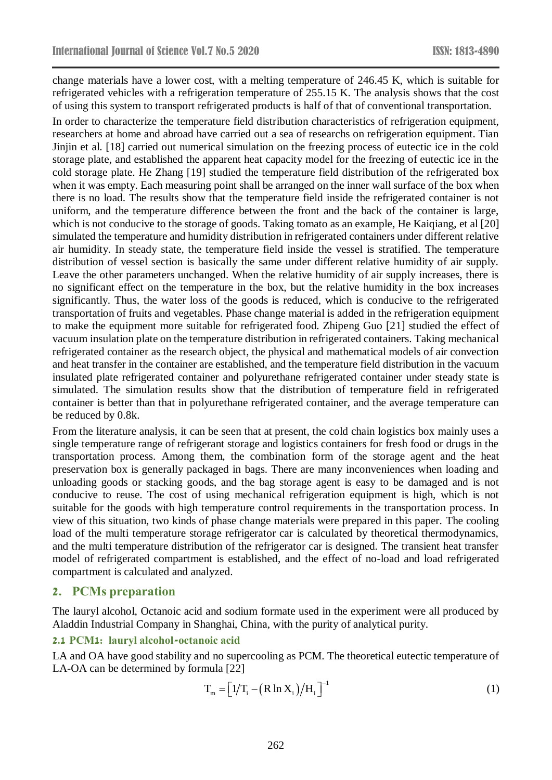change materials have a lower cost, with a melting temperature of 246.45 K, which is suitable for refrigerated vehicles with a refrigeration temperature of 255.15 K. The analysis shows that the cost of using this system to transport refrigerated products is half of that of conventional transportation.

In order to characterize the temperature field distribution characteristics of refrigeration equipment, researchers at home and abroad have carried out a sea of researchs on refrigeration equipment. Tian Jinjin et al. [18] carried out numerical simulation on the freezing process of eutectic ice in the cold storage plate, and established the apparent heat capacity model for the freezing of eutectic ice in the cold storage plate. He Zhang [19] studied the temperature field distribution of the refrigerated box when it was empty. Each measuring point shall be arranged on the inner wall surface of the box when there is no load. The results show that the temperature field inside the refrigerated container is not uniform, and the temperature difference between the front and the back of the container is large, which is not conducive to the storage of goods. Taking tomato as an example, He Kaiqiang, et al [20] simulated the temperature and humidity distribution in refrigerated containers under different relative air humidity. In steady state, the temperature field inside the vessel is stratified. The temperature distribution of vessel section is basically the same under different relative humidity of air supply. Leave the other parameters unchanged. When the relative humidity of air supply increases, there is no significant effect on the temperature in the box, but the relative humidity in the box increases significantly. Thus, the water loss of the goods is reduced, which is conducive to the refrigerated transportation of fruits and vegetables. Phase change material is added in the refrigeration equipment to make the equipment more suitable for refrigerated food. Zhipeng Guo [21] studied the effect of vacuum insulation plate on the temperature distribution in refrigerated containers. Taking mechanical refrigerated container as the research object, the physical and mathematical models of air convection and heat transfer in the container are established, and the temperature field distribution in the vacuum insulated plate refrigerated container and polyurethane refrigerated container under steady state is simulated. The simulation results show that the distribution of temperature field in refrigerated container is better than that in polyurethane refrigerated container, and the average temperature can be reduced by 0.8k.

From the literature analysis, it can be seen that at present, the cold chain logistics box mainly uses a single temperature range of refrigerant storage and logistics containers for fresh food or drugs in the transportation process. Among them, the combination form of the storage agent and the heat preservation box is generally packaged in bags. There are many inconveniences when loading and unloading goods or stacking goods, and the bag storage agent is easy to be damaged and is not conducive to reuse. The cost of using mechanical refrigeration equipment is high, which is not suitable for the goods with high temperature control requirements in the transportation process. In view of this situation, two kinds of phase change materials were prepared in this paper. The cooling load of the multi temperature storage refrigerator car is calculated by theoretical thermodynamics, and the multi temperature distribution of the refrigerator car is designed. The transient heat transfer model of refrigerated compartment is established, and the effect of no-load and load refrigerated compartment is calculated and analyzed.

### **2. PCMs preparation**

The lauryl alcohol, Octanoic acid and sodium formate used in the experiment were all produced by Aladdin Industrial Company in Shanghai, China, with the purity of analytical purity.

#### **2.1 PCM1: lauryl alcohol-octanoic acid**

LA and OA have good stability and no supercooling as PCM. The theoretical eutectic temperature of LA-OA can be determined by formula [22]

$$
\mathbf{T}_{\rm m} = \left[1/\mathbf{T}_{\rm i} - \left(\mathbf{R} \ln \mathbf{X}_{\rm i}\right) / \mathbf{H}_{\rm i}\right]^{-1} \tag{1}
$$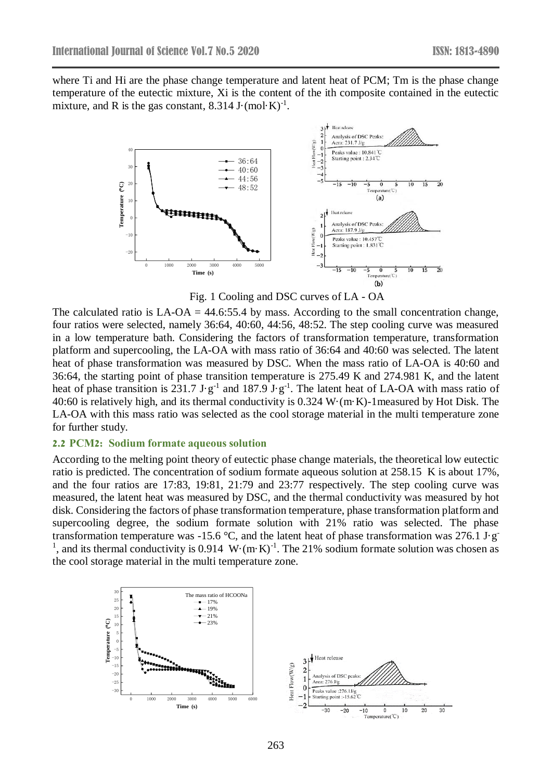where Ti and Hi are the phase change temperature and latent heat of PCM; Tm is the phase change temperature of the eutectic mixture, Xi is the content of the ith composite contained in the eutectic mixture, and R is the gas constant,  $8.314$  J $\cdot$  (mol $\cdot$ K)<sup>-1</sup>.



Fig. 1 Cooling and DSC curves of LA - OA

The calculated ratio is  $LA-OA = 44.6:55.4$  by mass. According to the small concentration change, four ratios were selected, namely 36:64, 40:60, 44:56, 48:52. The step cooling curve was measured in a low temperature bath. Considering the factors of transformation temperature, transformation platform and supercooling, the LA-OA with mass ratio of 36:64 and 40:60 was selected. The latent heat of phase transformation was measured by DSC. When the mass ratio of LA-OA is 40:60 and 36:64, the starting point of phase transition temperature is 275.49 K and 274.981 K, and the latent heat of phase transition is 231.7 J·g<sup>-1</sup> and 187.9 J·g<sup>-1</sup>. The latent heat of LA-OA with mass ratio of 40:60 is relatively high, and its thermal conductivity is 0.324 W·(m·K)-1measured by Hot Disk. The LA-OA with this mass ratio was selected as the cool storage material in the multi temperature zone for further study.

#### **2.2 PCM2: Sodium formate aqueous solution**

According to the melting point theory of eutectic phase change materials, the theoretical low eutectic ratio is predicted. The concentration of sodium formate aqueous solution at 258.15 K is about 17%, and the four ratios are 17:83, 19:81, 21:79 and 23:77 respectively. The step cooling curve was measured, the latent heat was measured by DSC, and the thermal conductivity was measured by hot disk. Considering the factors of phase transformation temperature, phase transformation platform and supercooling degree, the sodium formate solution with 21% ratio was selected. The phase transformation temperature was -15.6 °C, and the latent heat of phase transformation was 276.1 J·g <sup>1</sup>, and its thermal conductivity is 0.914 W·(m·K)<sup>-1</sup>. The 21% sodium formate solution was chosen as the cool storage material in the multi temperature zone.

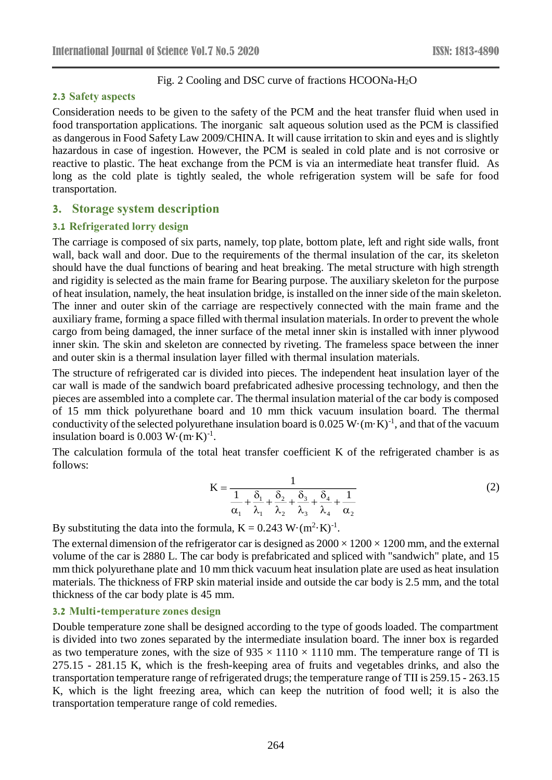# Fig. 2 Cooling and DSC curve of fractions HCOONa-H2O

### **2.3 Safety aspects**

Consideration needs to be given to the safety of the PCM and the heat transfer fluid when used in food transportation applications. The inorganic salt aqueous solution used as the PCM is classified as dangerous in Food Safety Law 2009/CHINA. It will cause irritation to skin and eyes and is slightly hazardous in case of ingestion. However, the PCM is sealed in cold plate and is not corrosive or reactive to plastic. The heat exchange from the PCM is via an intermediate heat transfer fluid. As long as the cold plate is tightly sealed, the whole refrigeration system will be safe for food transportation.

# **3. Storage system description**

# **3.1 Refrigerated lorry design**

The carriage is composed of six parts, namely, top plate, bottom plate, left and right side walls, front wall, back wall and door. Due to the requirements of the thermal insulation of the car, its skeleton should have the dual functions of bearing and heat breaking. The metal structure with high strength and rigidity is selected as the main frame for Bearing purpose. The auxiliary skeleton for the purpose of heat insulation, namely, the heat insulation bridge, is installed on the inner side of the main skeleton. The inner and outer skin of the carriage are respectively connected with the main frame and the auxiliary frame, forming a space filled with thermal insulation materials. In order to prevent the whole cargo from being damaged, the inner surface of the metal inner skin is installed with inner plywood inner skin. The skin and skeleton are connected by riveting. The frameless space between the inner and outer skin is a thermal insulation layer filled with thermal insulation materials.

The structure of refrigerated car is divided into pieces. The independent heat insulation layer of the car wall is made of the sandwich board prefabricated adhesive processing technology, and then the pieces are assembled into a complete car. The thermal insulation material of the car body is composed of 15 mm thick polyurethane board and 10 mm thick vacuum insulation board. The thermal conductivity of the selected polyurethane insulation board is  $0.025 \text{ W} \cdot (\text{m} \cdot \text{K})^{-1}$ , and that of the vacuum insulation board is  $0.003 \text{ W} \cdot (\text{m} \cdot \text{K})^{-1}$ .

The calculation formula of the total heat transfer coefficient K of the refrigerated chamber is as follows:

$$
K = \frac{1}{\frac{1}{\alpha_1} + \frac{\delta_1}{\lambda_1} + \frac{\delta_2}{\lambda_2} + \frac{\delta_3}{\lambda_3} + \frac{\delta_4}{\lambda_4} + \frac{1}{\alpha_2}}
$$
(2)

By substituting the data into the formula,  $K = 0.243 \text{ W} \cdot (\text{m}^2 \cdot \text{K})^{-1}$ .

The external dimension of the refrigerator car is designed as  $2000 \times 1200 \times 1200$  mm, and the external volume of the car is 2880 L. The car body is prefabricated and spliced with "sandwich" plate, and 15 mm thick polyurethane plate and 10 mm thick vacuum heat insulation plate are used as heat insulation materials. The thickness of FRP skin material inside and outside the car body is 2.5 mm, and the total thickness of the car body plate is 45 mm.

### **3.2 Multi-temperature zones design**

Double temperature zone shall be designed according to the type of goods loaded. The compartment is divided into two zones separated by the intermediate insulation board. The inner box is regarded as two temperature zones, with the size of  $935 \times 1110 \times 1110$  mm. The temperature range of TI is 275.15 - 281.15 K, which is the fresh-keeping area of fruits and vegetables drinks, and also the transportation temperature range of refrigerated drugs; the temperature range of TII is 259.15 - 263.15 K, which is the light freezing area, which can keep the nutrition of food well; it is also the transportation temperature range of cold remedies.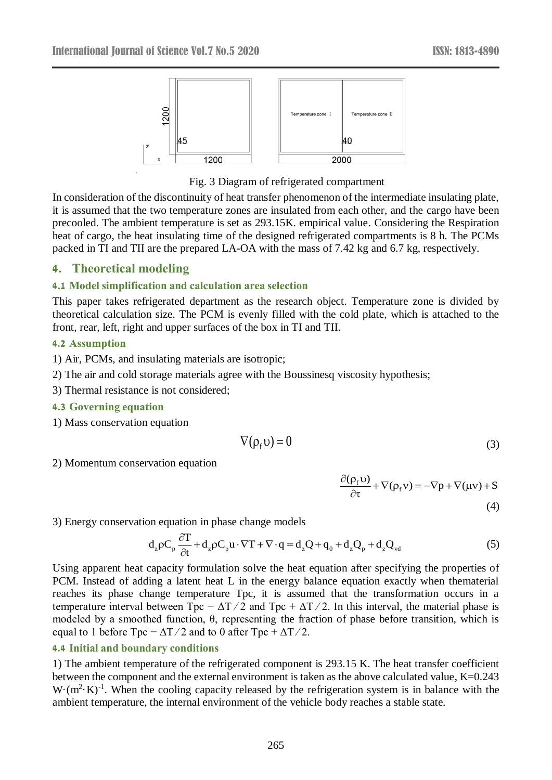

### Fig. 3 Diagram of refrigerated compartment

In consideration of the discontinuity of heat transfer phenomenon of the intermediate insulating plate, it is assumed that the two temperature zones are insulated from each other, and the cargo have been precooled. The ambient temperature is set as 293.15K. empirical value. Considering the Respiration heat of cargo, the heat insulating time of the designed refrigerated compartments is 8 h. The PCMs packed in TI and TII are the prepared LA-OA with the mass of 7.42 kg and 6.7 kg, respectively.

# **4. Theoretical modeling**

#### **4.1 Model simplification and calculation area selection**

This paper takes refrigerated department as the research object. Temperature zone is divided by theoretical calculation size. The PCM is evenly filled with the cold plate, which is attached to the front, rear, left, right and upper surfaces of the box in TI and TII.

#### **4.2 Assumption**

1) Air, PCMs, and insulating materials are isotropic;

- 2) The air and cold storage materials agree with the Boussinesq viscosity hypothesis;
- 3) Thermal resistance is not considered;

### **4.3 Governing equation**

1) Mass conservation equation

$$
\nabla(\rho_f \mathbf{v}) = 0 \tag{3}
$$

2) Momentum conservation equation

$$
\frac{\partial(\rho_f v)}{\partial \tau} + \nabla(\rho_f v) = -\nabla p + \nabla(\mu v) + S
$$
\n(4)

3) Energy conservation equation in phase change models

$$
d_z \rho C_p \frac{\partial T}{\partial t} + d_z \rho C_p u \cdot \nabla T + \nabla \cdot q = d_z Q + q_0 + d_z Q_p + d_z Q_{vd}
$$
 (5)

Using apparent heat capacity formulation solve the heat equation after specifying the properties of PCM. Instead of adding a latent heat L in the energy balance equation exactly when thematerial reaches its phase change temperature Tpc, it is assumed that the transformation occurs in a temperature interval between  $Tpc - \Delta T/2$  and  $Tpc + \Delta T/2$ . In this interval, the material phase is modeled by a smoothed function, θ, representing the fraction of phase before transition, which is equal to 1 before Tpc  $-\Delta T/2$  and to 0 after Tpc  $+\Delta T/2$ .

#### **4.4 Initial and boundary conditions**

1) The ambient temperature of the refrigerated component is 293.15 K. The heat transfer coefficient between the component and the external environment is taken as the above calculated value, K=0.243  $W \cdot (m^2 \cdot K)^{-1}$ . When the cooling capacity released by the refrigeration system is in balance with the ambient temperature, the internal environment of the vehicle body reaches a stable state.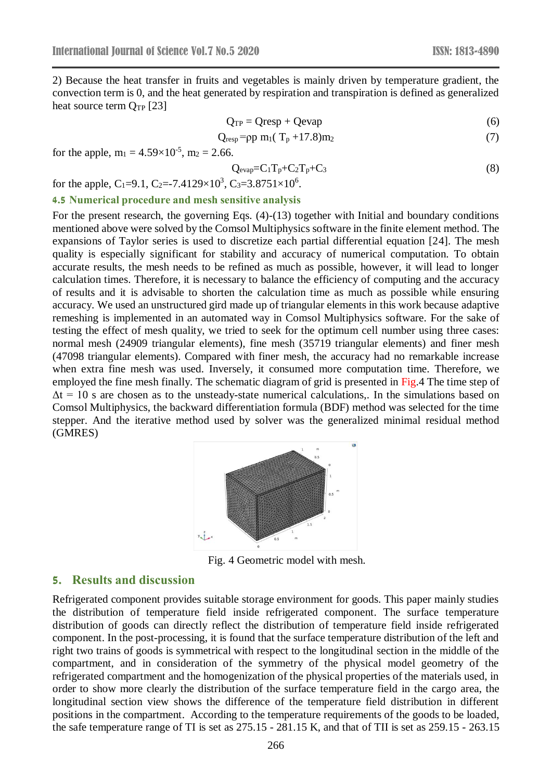2) Because the heat transfer in fruits and vegetables is mainly driven by temperature gradient, the convection term is 0, and the heat generated by respiration and transpiration is defined as generalized heat source term  $Q_{TP}$  [23]

$$
Q_{TP} = Qresp + Qevap \tag{6}
$$

$$
Q_{resp} = pp m_1(T_p + 17.8)m_2 \tag{7}
$$

for the apple,  $m_1 = 4.59 \times 10^{-5}$ ,  $m_2 = 2.66$ .

$$
Q_{evap} = C_1 T_p + C_2 T_p + C_3 \tag{8}
$$

for the apple, C<sub>1</sub>=9.1, C<sub>2</sub>=-7.4129×10<sup>3</sup>, C<sub>3</sub>=3.8751×10<sup>6</sup>.

## **4.5 Numerical procedure and mesh sensitive analysis**

For the present research, the governing Eqs. (4)-(13) together with Initial and boundary conditions mentioned above were solved by the Comsol Multiphysics software in the finite element method. The expansions of Taylor series is used to discretize each partial differential equation [24]. The mesh quality is especially significant for stability and accuracy of numerical computation. To obtain accurate results, the mesh needs to be refined as much as possible, however, it will lead to longer calculation times. Therefore, it is necessary to balance the efficiency of computing and the accuracy of results and it is advisable to shorten the calculation time as much as possible while ensuring accuracy. We used an unstructured gird made up of triangular elements in this work because adaptive remeshing is implemented in an automated way in Comsol Multiphysics software. For the sake of testing the effect of mesh quality, we tried to seek for the optimum cell number using three cases: normal mesh (24909 triangular elements), fine mesh (35719 triangular elements) and finer mesh (47098 triangular elements). Compared with finer mesh, the accuracy had no remarkable increase when extra fine mesh was used. Inversely, it consumed more computation time. Therefore, we employed the fine mesh finally. The schematic diagram of grid is presented in Fig.4 The time step of  $\Delta t = 10$  s are chosen as to the unsteady-state numerical calculations,. In the simulations based on Comsol Multiphysics, the backward differentiation formula (BDF) method was selected for the time stepper. And the iterative method used by solver was the generalized minimal residual method (GMRES)



Fig. 4 Geometric model with mesh.

### **5. Results and discussion**

Refrigerated component provides suitable storage environment for goods. This paper mainly studies the distribution of temperature field inside refrigerated component. The surface temperature distribution of goods can directly reflect the distribution of temperature field inside refrigerated component. In the post-processing, it is found that the surface temperature distribution of the left and right two trains of goods is symmetrical with respect to the longitudinal section in the middle of the compartment, and in consideration of the symmetry of the physical model geometry of the refrigerated compartment and the homogenization of the physical properties of the materials used, in order to show more clearly the distribution of the surface temperature field in the cargo area, the longitudinal section view shows the difference of the temperature field distribution in different positions in the compartment. According to the temperature requirements of the goods to be loaded, the safe temperature range of TI is set as 275.15 - 281.15 K, and that of TII is set as 259.15 - 263.15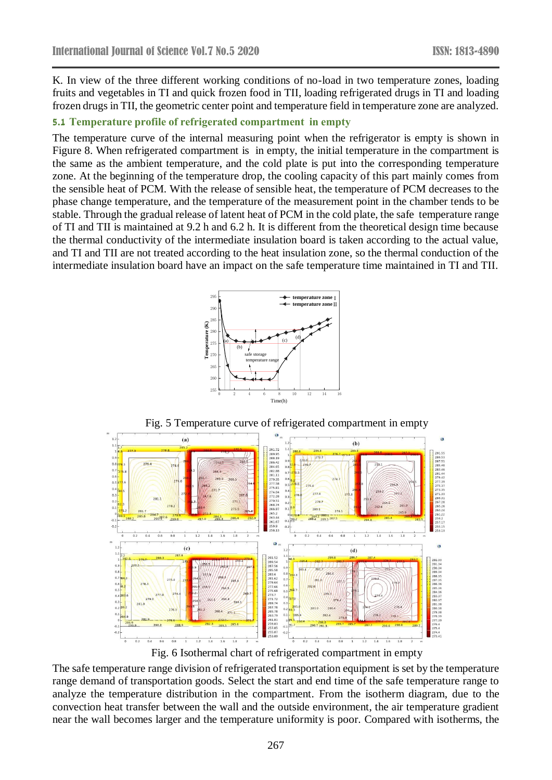K. In view of the three different working conditions of no-load in two temperature zones, loading fruits and vegetables in TI and quick frozen food in TII, loading refrigerated drugs in TI and loading frozen drugs in TII, the geometric center point and temperature field in temperature zone are analyzed.

# **5.1 Temperature profile of refrigerated compartment in empty**

The temperature curve of the internal measuring point when the refrigerator is empty is shown in Figure 8. When refrigerated compartment is in empty, the initial temperature in the compartment is the same as the ambient temperature, and the cold plate is put into the corresponding temperature zone. At the beginning of the temperature drop, the cooling capacity of this part mainly comes from the sensible heat of PCM. With the release of sensible heat, the temperature of PCM decreases to the phase change temperature, and the temperature of the measurement point in the chamber tends to be stable. Through the gradual release of latent heat of PCM in the cold plate, the safe temperature range of TI and TII is maintained at 9.2 h and 6.2 h. It is different from the theoretical design time because the thermal conductivity of the intermediate insulation board is taken according to the actual value, and TI and TII are not treated according to the heat insulation zone, so the thermal conduction of the intermediate insulation board have an impact on the safe temperature time maintained in TI and TII.





Fig. 6 Isothermal chart of refrigerated compartment in empty

The safe temperature range division of refrigerated transportation equipment is set by the temperature range demand of transportation goods. Select the start and end time of the safe temperature range to analyze the temperature distribution in the compartment. From the isotherm diagram, due to the convection heat transfer between the wall and the outside environment, the air temperature gradient near the wall becomes larger and the temperature uniformity is poor. Compared with isotherms, the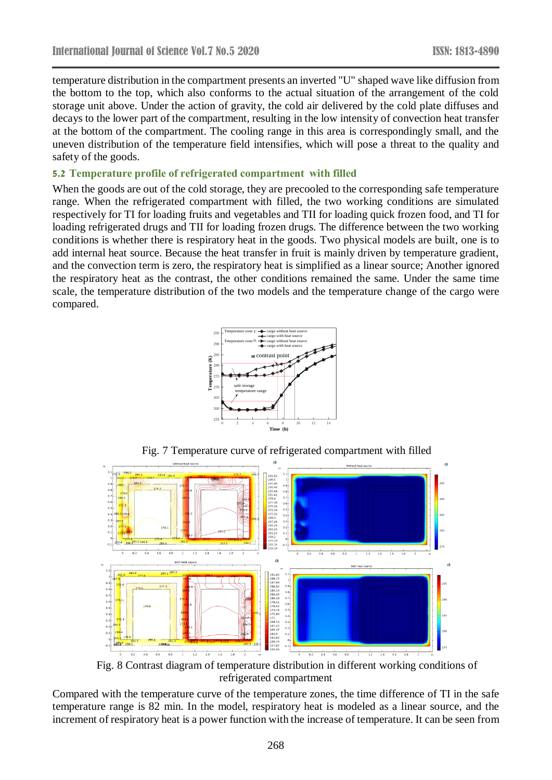temperature distribution in the compartment presents an inverted "U" shaped wave like diffusion from the bottom to the top, which also conforms to the actual situation of the arrangement of the cold storage unit above. Under the action of gravity, the cold air delivered by the cold plate diffuses and decays to the lower part of the compartment, resulting in the low intensity of convection heat transfer at the bottom of the compartment. The cooling range in this area is correspondingly small, and the uneven distribution of the temperature field intensifies, which will pose a threat to the quality and safety of the goods.

#### **5.2 Temperature profile of refrigerated compartment with filled**

When the goods are out of the cold storage, they are precooled to the corresponding safe temperature range. When the refrigerated compartment with filled, the two working conditions are simulated respectively for TI for loading fruits and vegetables and TII for loading quick frozen food, and TI for loading refrigerated drugs and TII for loading frozen drugs. The difference between the two working conditions is whether there is respiratory heat in the goods. Two physical models are built, one is to add internal heat source. Because the heat transfer in fruit is mainly driven by temperature gradient, and the convection term is zero, the respiratory heat is simplified as a linear source; Another ignored the respiratory heat as the contrast, the other conditions remained the same. Under the same time scale, the temperature distribution of the two models and the temperature change of the cargo were compared.





Fig. 7 Temperature curve of refrigerated compartment with filled

Fig. 8 Contrast diagram of temperature distribution in different working conditions of refrigerated compartment

Compared with the temperature curve of the temperature zones, the time difference of TI in the safe temperature range is 82 min. In the model, respiratory heat is modeled as a linear source, and the increment of respiratory heat is a power function with the increase of temperature. It can be seen from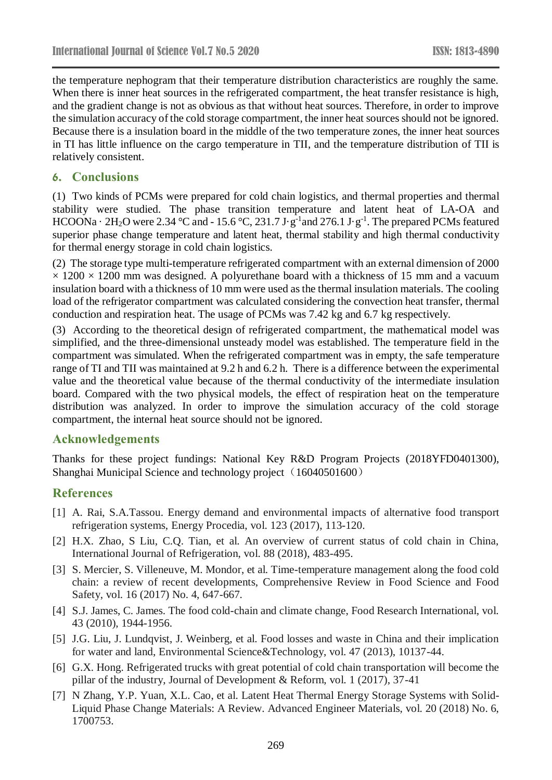the temperature nephogram that their temperature distribution characteristics are roughly the same. When there is inner heat sources in the refrigerated compartment, the heat transfer resistance is high, and the gradient change is not as obvious as that without heat sources. Therefore, in order to improve the simulation accuracy of the cold storage compartment, the inner heat sources should not be ignored. Because there is a insulation board in the middle of the two temperature zones, the inner heat sources in TI has little influence on the cargo temperature in TII, and the temperature distribution of TII is relatively consistent.

# **6. Conclusions**

(1) Two kinds of PCMs were prepared for cold chain logistics, and thermal properties and thermal stability were studied. The phase transition temperature and latent heat of LA-OA and HCOONa  $\cdot$  2H<sub>2</sub>O were 2.34 °C and - 15.6 °C, 231.7 J $\cdot$  g<sup>-1</sup> and 276.1 J $\cdot$  g<sup>-1</sup>. The prepared PCMs featured superior phase change temperature and latent heat, thermal stability and high thermal conductivity for thermal energy storage in cold chain logistics.

(2) The storage type multi-temperature refrigerated compartment with an external dimension of 2000  $\times$  1200  $\times$  1200 mm was designed. A polyurethane board with a thickness of 15 mm and a vacuum insulation board with a thickness of 10 mm were used as the thermal insulation materials. The cooling load of the refrigerator compartment was calculated considering the convection heat transfer, thermal conduction and respiration heat. The usage of PCMs was 7.42 kg and 6.7 kg respectively.

(3) According to the theoretical design of refrigerated compartment, the mathematical model was simplified, and the three-dimensional unsteady model was established. The temperature field in the compartment was simulated. When the refrigerated compartment was in empty, the safe temperature range of TI and TII was maintained at 9.2 h and 6.2 h. There is a difference between the experimental value and the theoretical value because of the thermal conductivity of the intermediate insulation board. Compared with the two physical models, the effect of respiration heat on the temperature distribution was analyzed. In order to improve the simulation accuracy of the cold storage compartment, the internal heat source should not be ignored.

# **Acknowledgements**

Thanks for these project fundings: National Key R&D Program Projects (2018YFD0401300), Shanghai Municipal Science and technology project (16040501600)

# **References**

- [1] A. Rai, S.A.Tassou. Energy demand and environmental impacts of alternative food transport refrigeration systems, Energy Procedia, vol. 123 (2017), 113-120.
- [2] H.X. Zhao, S Liu, C.Q. Tian, et al. An overview of current status of cold chain in China, International Journal of Refrigeration, vol. 88 (2018), 483-495.
- [3] S. Mercier, S. Villeneuve, M. Mondor, et al. Time-temperature management along the food cold chain: a review of recent developments, Comprehensive Review in Food Science and Food Safety, vol. 16 (2017) No. 4, 647-667.
- [4] S.J. James, C. James. The food cold-chain and climate change, Food Research International, vol. 43 (2010), 1944-1956.
- [5] J.G. Liu, J. Lundqvist, J. Weinberg, et al. Food losses and waste in China and their implication for water and land, Environmental Science&Technology, vol. 47 (2013), 10137-44.
- [6] G.X. Hong. Refrigerated trucks with great potential of cold chain transportation will become the pillar of the industry, Journal of Development & Reform, vol. 1 (2017), 37-41
- [7] N Zhang, Y.P. Yuan, X.L. Cao, et al. Latent Heat Thermal Energy Storage Systems with Solid-Liquid Phase Change Materials: A Review. Advanced Engineer Materials, vol. 20 (2018) No. 6, 1700753.